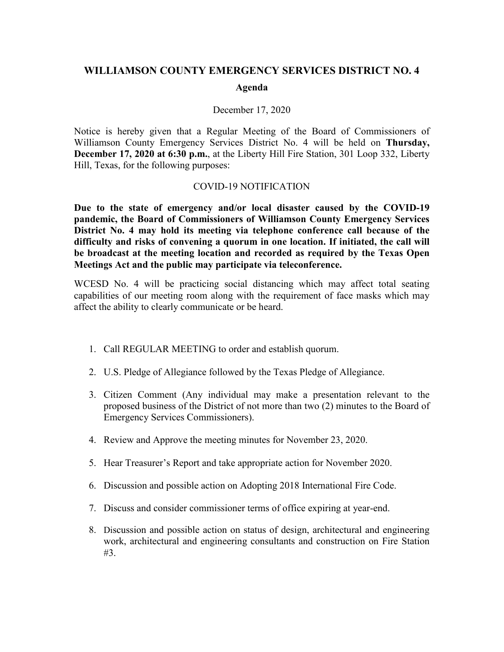## **WILLIAMSON COUNTY EMERGENCY SERVICES DISTRICT NO. 4**

## **Agenda**

## December 17, 2020

Notice is hereby given that a Regular Meeting of the Board of Commissioners of Williamson County Emergency Services District No. 4 will be held on **Thursday, December 17, 2020 at 6:30 p.m.**, at the Liberty Hill Fire Station, 301 Loop 332, Liberty Hill, Texas, for the following purposes:

## COVID-19 NOTIFICATION

**Due to the state of emergency and/or local disaster caused by the COVID-19 pandemic, the Board of Commissioners of Williamson County Emergency Services District No. 4 may hold its meeting via telephone conference call because of the difficulty and risks of convening a quorum in one location. If initiated, the call will be broadcast at the meeting location and recorded as required by the Texas Open Meetings Act and the public may participate via teleconference.**

WCESD No. 4 will be practicing social distancing which may affect total seating capabilities of our meeting room along with the requirement of face masks which may affect the ability to clearly communicate or be heard.

- 1. Call REGULAR MEETING to order and establish quorum.
- 2. U.S. Pledge of Allegiance followed by the Texas Pledge of Allegiance.
- 3. Citizen Comment (Any individual may make a presentation relevant to the proposed business of the District of not more than two (2) minutes to the Board of Emergency Services Commissioners).
- 4. Review and Approve the meeting minutes for November 23, 2020.
- 5. Hear Treasurer's Report and take appropriate action for November 2020.
- 6. Discussion and possible action on Adopting 2018 International Fire Code.
- 7. Discuss and consider commissioner terms of office expiring at year-end.
- 8. Discussion and possible action on status of design, architectural and engineering work, architectural and engineering consultants and construction on Fire Station #3.